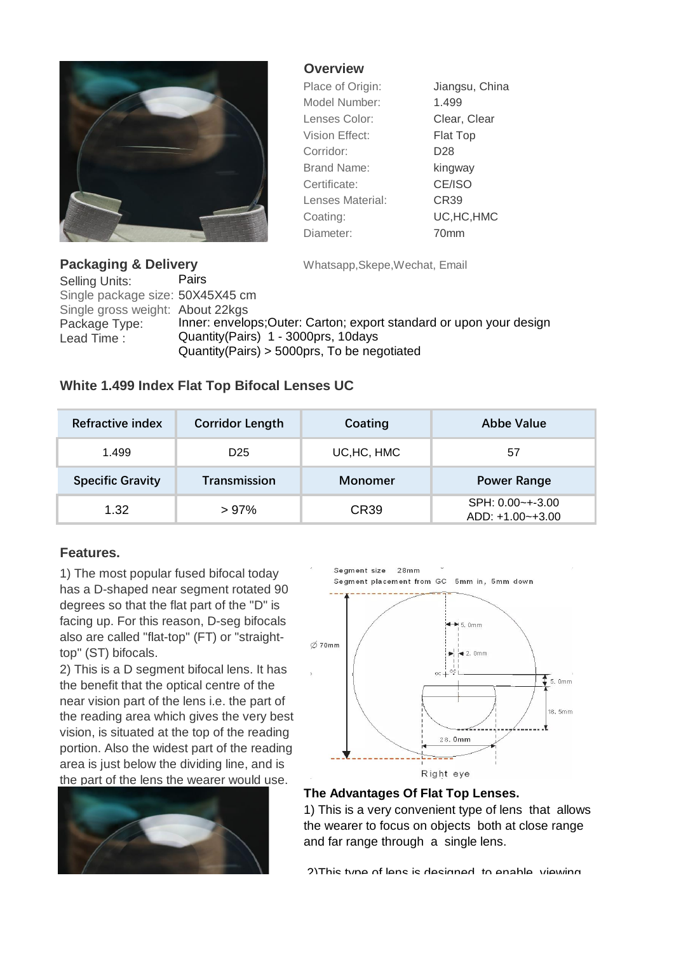

## **Overview**

| Place of Origin:   | Jiangsu, China  |
|--------------------|-----------------|
| Model Number:      | 1.499           |
| Lenses Color:      | Clear, Clear    |
| Vision Effect:     | <b>Flat Top</b> |
| Corridor:          | D <sub>28</sub> |
| <b>Brand Name:</b> | kingway         |
| Certificate:       | CE/ISO          |
| Lenses Material:   | CR39            |
| Coating:           | UC, HC, HMC     |
| Diameter:          | 70mm            |

**Packaging & Delivery** Whatsapp, Skepe, Wechat, Email

Selling Units: Pairs Single package size: 50X45X45 cm Single gross weight: About 22kgs Package Type: Inner: envelops; Outer: Carton; export standard or upon your design Lead Time : Quantity(Pairs) 1 - 3000prs, 10days Quantity(Pairs) > 5000prs, To be negotiated

## **White 1.499 Index Flat Top Bifocal Lenses UC**

| Refractive index        | <b>Corridor Length</b> | Coating        | Abbe Value                              |  |
|-------------------------|------------------------|----------------|-----------------------------------------|--|
| 1.499                   | D <sub>25</sub>        | UC, HC, HMC    | 57                                      |  |
| <b>Specific Gravity</b> | Transmission           | <b>Monomer</b> | <b>Power Range</b>                      |  |
| 1.32                    | >97%                   | CR39           | $SPH: 0.00$ ~+-3.00<br>ADD: +1.00~+3.00 |  |

## **Features.**

1) The most popular fused bifocal today has a D-shaped near segment rotated 90 degrees so that the flat part of the "D" is facing up. For this reason, D-seg bifocals also are called "flat-top" (FT) or "straighttop" (ST) bifocals.

2) This is a D segment bifocal lens. It has the benefit that the optical centre of the near vision part of the lens i.e. the part of the reading area which gives the very best vision, is situated at the top of the reading portion. Also the widest part of the reading area is just below the dividing line, and is the part of the lens the wearer would use.





## **The Advantages Of Flat Top Lenses.**

1) This is a very convenient type of lens that allows the wearer to focus on objects both at close range and far range through a single lens.

2)This type of lens is designed to enable viewing